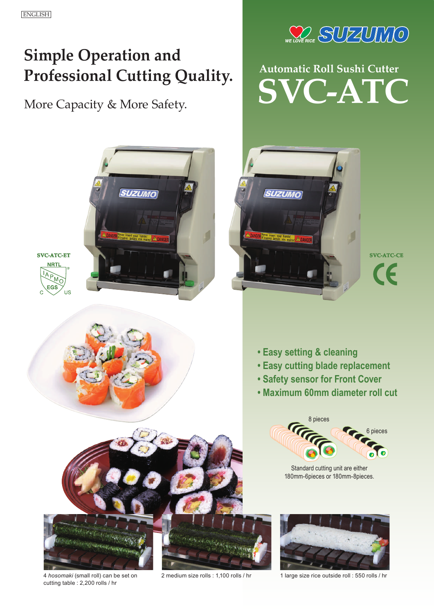# **Simple Operation and Professional Cutting Quality.**

More Capacity & More Safety.



**Automatic Roll Sushi Cutter SVC-ATC**





CE.

- **Easy setting & cleaning**
- **Easy cutting blade replacement**
- **Safety sensor for Front Cover**
- **Maximum 60mm diameter roll cut**



Standard cutting unit are either 180mm-6pieces or 180mm-8pieces.



4 *hosomaki* (small roll) can be set on cutting table : 2,200 rolls / hr



2 medium size rolls : 1,100 rolls / hr 1 large size rice outside roll : 550 rolls / hr